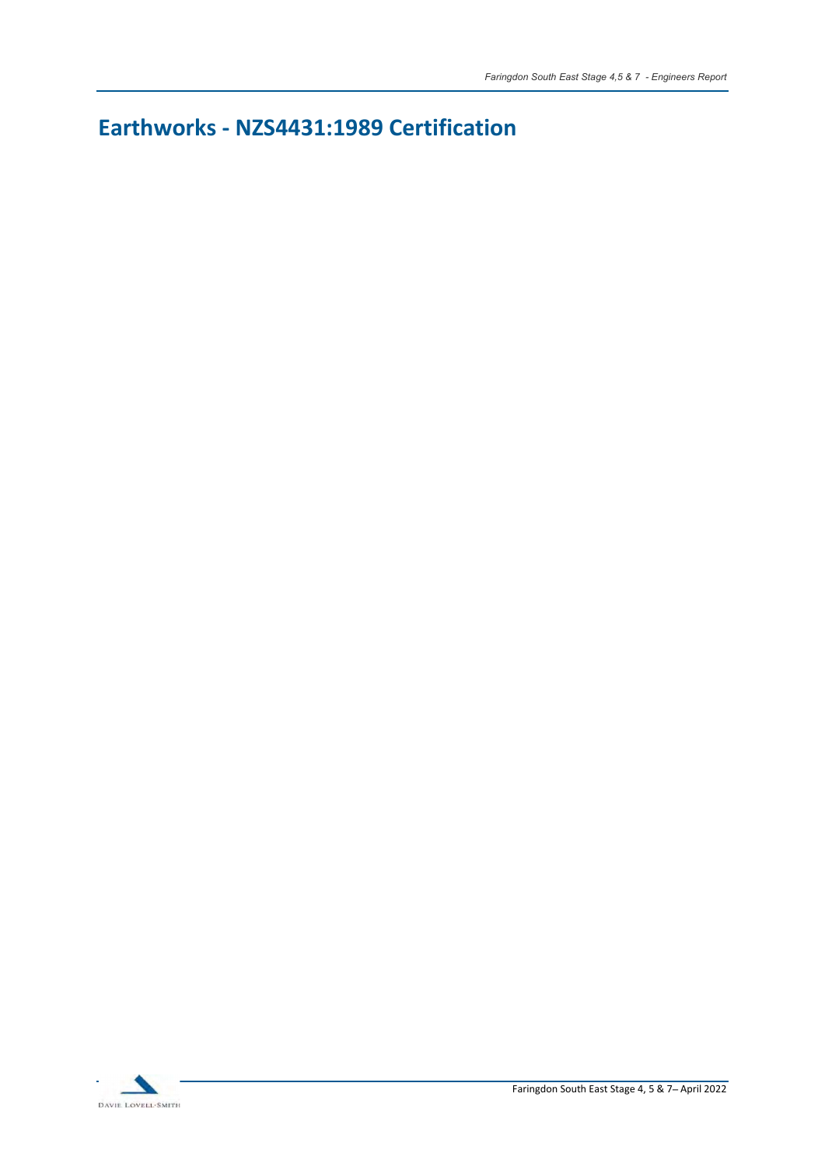Earthworks - NZS4431:1989 Certification

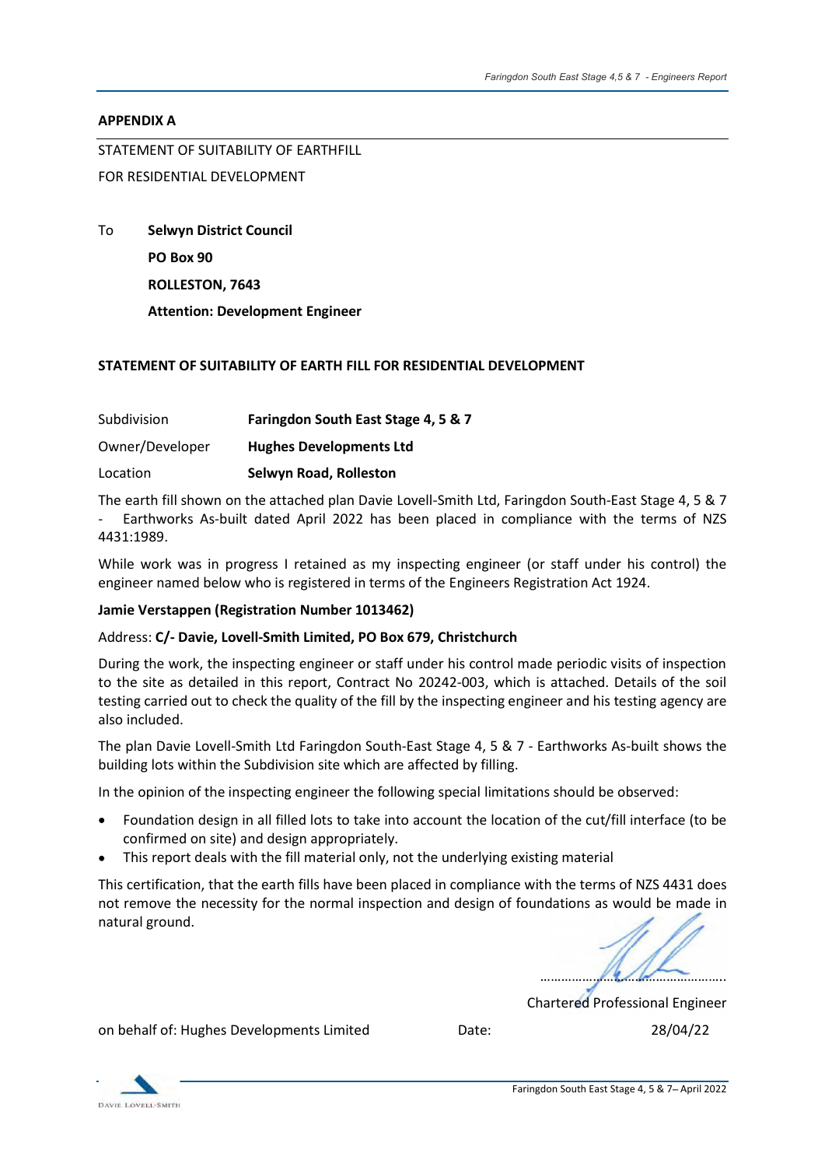#### APPENDIX A

STATEMENT OF SUITABILITY OF EARTHFILL

# FOR RESIDENTIAL DEVELOPMENT

To Selwyn District Council

PO Box 90

ROLLESTON, 7643

Attention: Development Engineer

#### STATEMENT OF SUITABILITY OF EARTH FILL FOR RESIDENTIAL DEVELOPMENT

| Subdivision     | Faringdon South East Stage 4, 5 & 7 |
|-----------------|-------------------------------------|
| Owner/Developer | <b>Hughes Developments Ltd</b>      |
| Location        | Selwyn Road, Rolleston              |

The earth fill shown on the attached plan Davie Lovell-Smith Ltd, Faringdon South-East Stage 4, 5 & 7 - Earthworks As-built dated April 2022 has been placed in compliance with the terms of NZS 4431:1989.

While work was in progress I retained as my inspecting engineer (or staff under his control) the engineer named below who is registered in terms of the Engineers Registration Act 1924.

## Jamie Verstappen (Registration Number 1013462)

## Address: C/- Davie, Lovell-Smith Limited, PO Box 679, Christchurch

During the work, the inspecting engineer or staff under his control made periodic visits of inspection to the site as detailed in this report, Contract No 20242-003, which is attached. Details of the soil testing carried out to check the quality of the fill by the inspecting engineer and his testing agency are also included.

The plan Davie Lovell-Smith Ltd Faringdon South-East Stage 4, 5 & 7 - Earthworks As-built shows the building lots within the Subdivision site which are affected by filling.

In the opinion of the inspecting engineer the following special limitations should be observed:

- Foundation design in all filled lots to take into account the location of the cut/fill interface (to be confirmed on site) and design appropriately.
- This report deals with the fill material only, not the underlying existing material

This certification, that the earth fills have been placed in compliance with the terms of NZS 4431 does not remove the necessity for the normal inspection and design of foundations as would be made in natural ground.

<u> Albanya da san a shekara ta 1989 a shekara ta 1989 a shekara ta 1989 a shekara ta 1989 a shekara ta 1989 a sh</u>

Chartered Professional Engineer

on behalf of: Hughes Developments Limited Date: 28/04/22

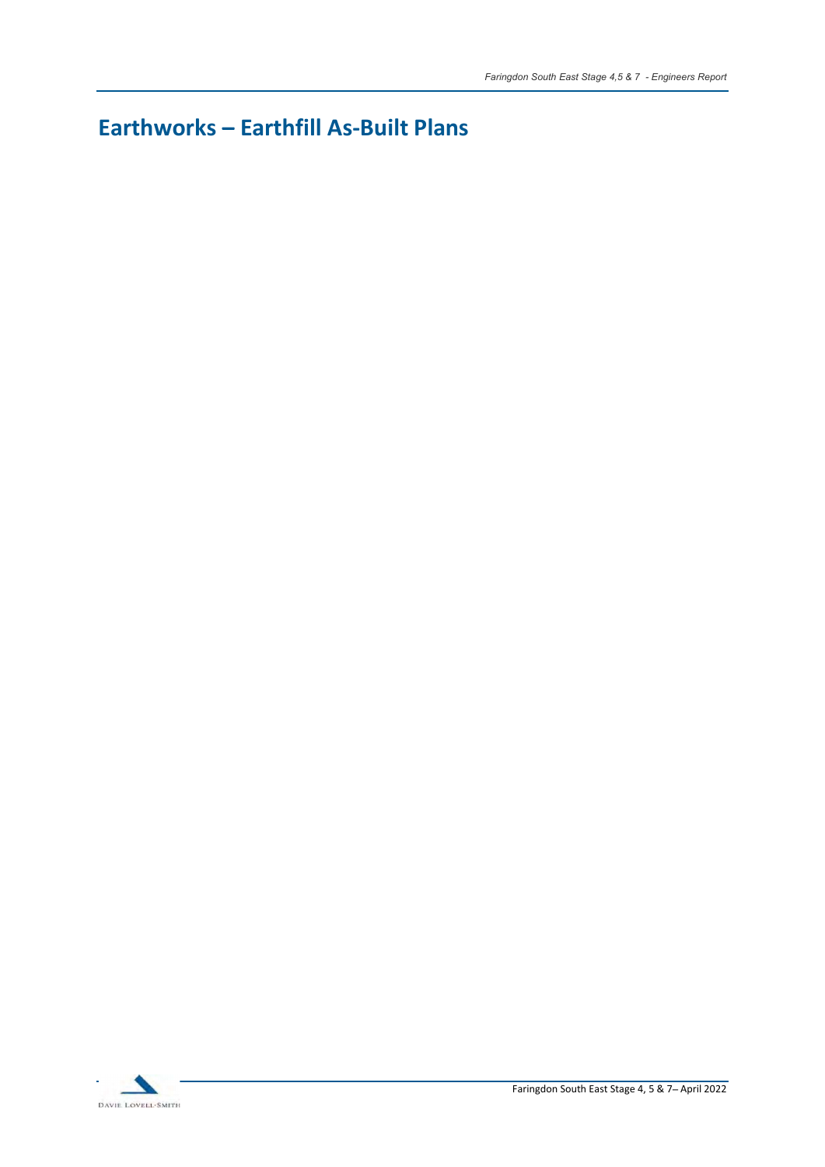# Earthworks - Earthfill As-Built Plans

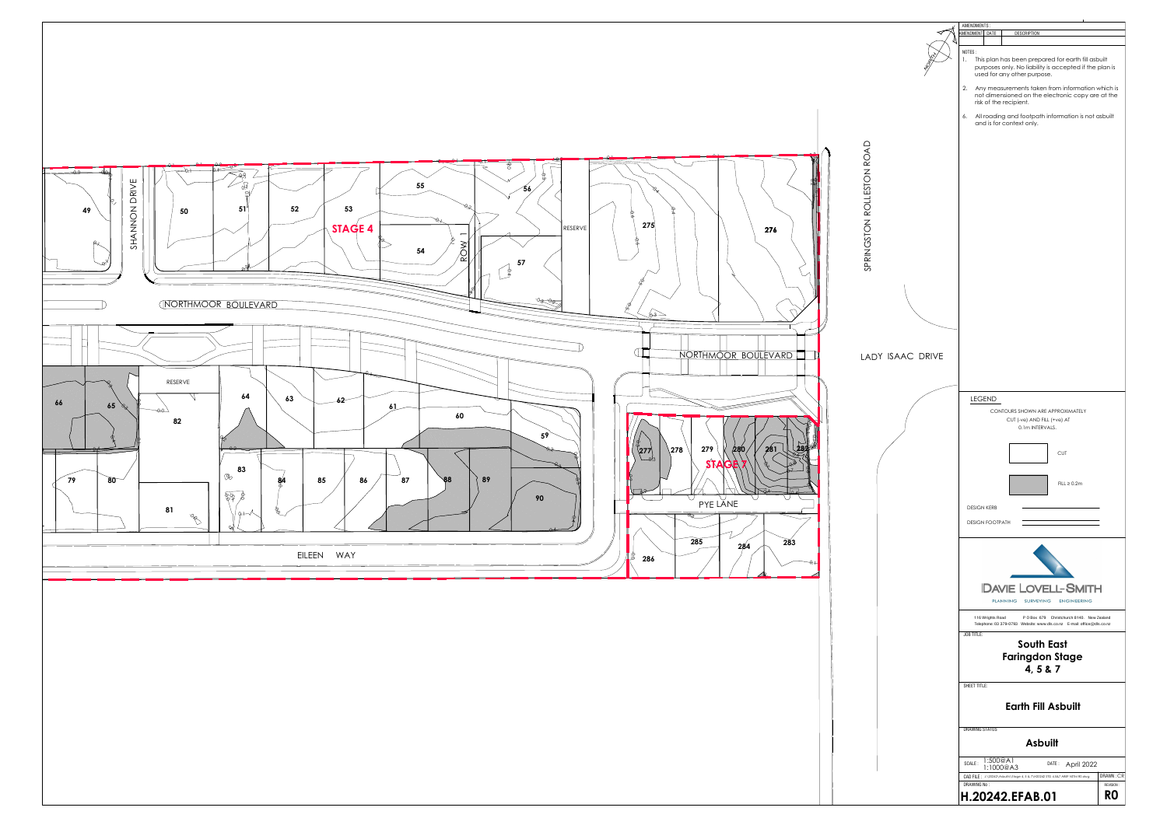SPRINGSTON ROLLESTON ROAD



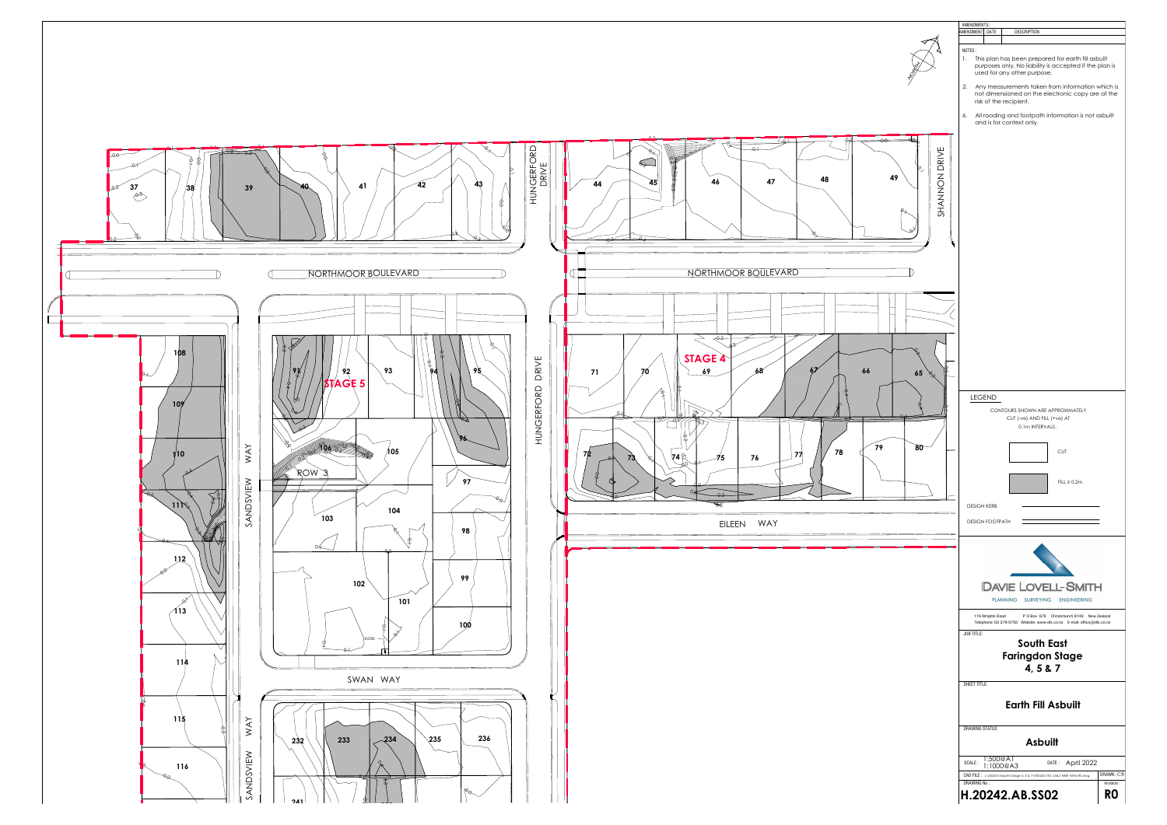